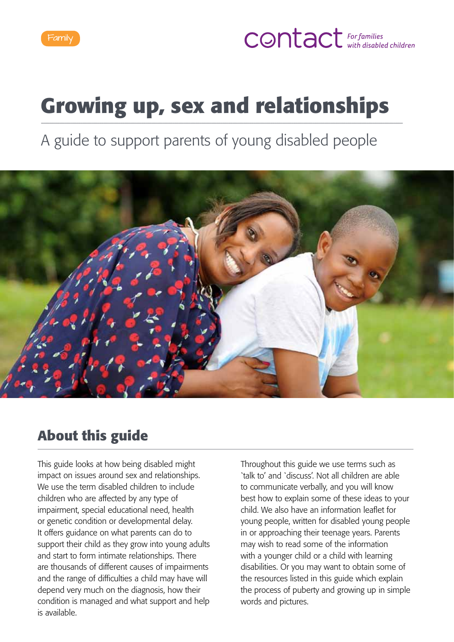

# **CONTACT** For families

# **Growing up, sex and relationships**

A guide to support parents of young disabled people



### **About this guide**

This guide looks at how being disabled might impact on issues around sex and relationships. We use the term disabled children to include children who are affected by any type of impairment, special educational need, health or genetic condition or developmental delay. It offers guidance on what parents can do to support their child as they grow into young adults and start to form intimate relationships. There are thousands of different causes of impairments and the range of difficulties a child may have will depend very much on the diagnosis, how their condition is managed and what support and help is available.

Throughout this guide we use terms such as `talk to' and `discuss'. Not all children are able to communicate verbally, and you will know best how to explain some of these ideas to your child. We also have an information leaflet for young people, written for disabled young people in or approaching their teenage years. Parents may wish to read some of the information with a younger child or a child with learning disabilities. Or you may want to obtain some of the resources listed in this guide which explain the process of puberty and growing up in simple words and pictures.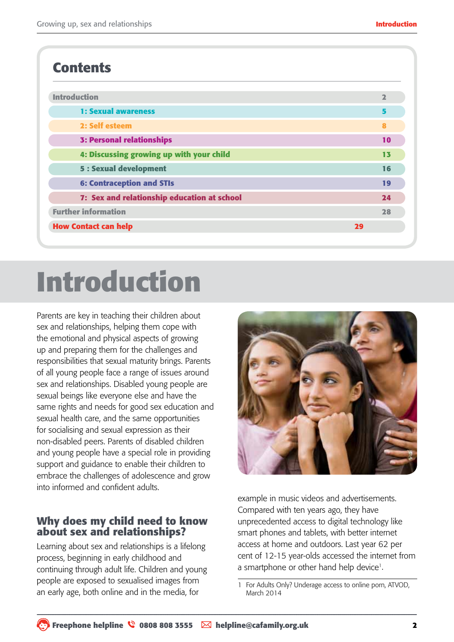### **Contents**

| <b>Introduction</b>                         | $\overline{\mathbf{2}}$ |
|---------------------------------------------|-------------------------|
| <b>1: Sexual awareness</b>                  | 5                       |
| 2: Self esteem                              | 8                       |
| <b>3: Personal relationships</b>            | 10                      |
| 4: Discussing growing up with your child    | 13                      |
| <b>5 : Sexual development</b>               | 16                      |
| <b>6: Contraception and STIs</b>            | 19                      |
| 7: Sex and relationship education at school | 24                      |
| <b>Further information</b>                  | 28                      |
| <b>How Contact can help</b>                 | 29                      |

# **Introduction**

Parents are key in teaching their children about sex and relationships, helping them cope with the emotional and physical aspects of growing up and preparing them for the challenges and responsibilities that sexual maturity brings. Parents of all young people face a range of issues around sex and relationships. Disabled young people are sexual beings like everyone else and have the same rights and needs for good sex education and sexual health care, and the same opportunities for socialising and sexual expression as their non-disabled peers. Parents of disabled children and young people have a special role in providing support and guidance to enable their children to embrace the challenges of adolescence and grow into informed and confident adults.

#### **Why does my child need to know about sex and relationships?**

Learning about sex and relationships is a lifelong process, beginning in early childhood and continuing through adult life. Children and young people are exposed to sexualised images from an early age, both online and in the media, for



example in music videos and advertisements. Compared with ten years ago, they have unprecedented access to digital technology like smart phones and tablets, with better internet access at home and outdoors. Last year 62 per cent of 12-15 year-olds accessed the internet from a smartphone or other hand help device<sup>1</sup>.

For Adults Only? Underage access to online porn, ATVOD, March 2014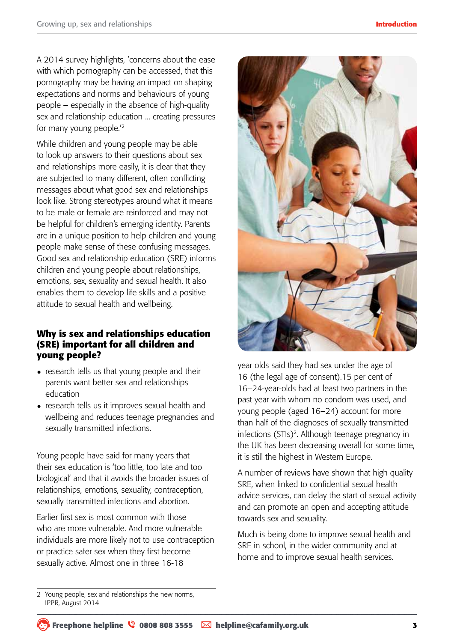A 2014 survey highlights, 'concerns about the ease with which pornography can be accessed, that this pornography may be having an impact on shaping expectations and norms and behaviours of young people – especially in the absence of high-quality sex and relationship education ... creating pressures for many young people.'2

While children and young people may be able to look up answers to their questions about sex and relationships more easily, it is clear that they are subjected to many different, often conflicting messages about what good sex and relationships look like. Strong stereotypes around what it means to be male or female are reinforced and may not be helpful for children's emerging identity. Parents are in a unique position to help children and young people make sense of these confusing messages. Good sex and relationship education (SRE) informs children and young people about relationships, emotions, sex, sexuality and sexual health. It also enables them to develop life skills and a positive attitude to sexual health and wellbeing.

#### **Why is sex and relationships education (SRE) important for all children and young people?**

- research tells us that young people and their parents want better sex and relationships education
- research tells us it improves sexual health and wellbeing and reduces teenage pregnancies and sexually transmitted infections.

Young people have said for many years that their sex education is 'too little, too late and too biological' and that it avoids the broader issues of relationships, emotions, sexuality, contraception, sexually transmitted infections and abortion.

Earlier first sex is most common with those who are more vulnerable. And more vulnerable individuals are more likely not to use contraception or practice safer sex when they first become sexually active. Almost one in three 16-18



year olds said they had sex under the age of 16 (the legal age of consent).15 per cent of 16–24-year-olds had at least two partners in the past year with whom no condom was used, and young people (aged 16–24) account for more than half of the diagnoses of sexually transmitted infections (STIs)<sup>2</sup>. Although teenage pregnancy in the UK has been decreasing overall for some time, it is still the highest in Western Europe.

A number of reviews have shown that high quality SRE, when linked to confidential sexual health advice services, can delay the start of sexual activity and can promote an open and accepting attitude towards sex and sexuality.

Much is being done to improve sexual health and SRE in school, in the wider community and at home and to improve sexual health services.

<sup>2</sup> Young people, sex and relationships the new norms, IPPR, August 2014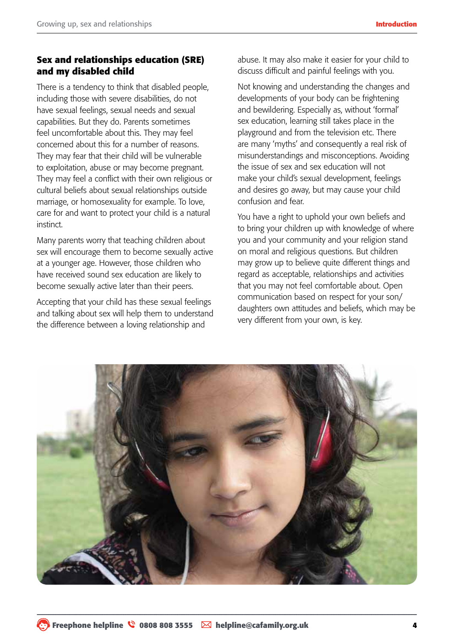#### **Sex and relationships education (SRE) and my disabled child**

There is a tendency to think that disabled people, including those with severe disabilities, do not have sexual feelings, sexual needs and sexual capabilities. But they do. Parents sometimes feel uncomfortable about this. They may feel concerned about this for a number of reasons. They may fear that their child will be vulnerable to exploitation, abuse or may become pregnant. They may feel a conflict with their own religious or cultural beliefs about sexual relationships outside marriage, or homosexuality for example. To love, care for and want to protect your child is a natural instinct.

Many parents worry that teaching children about sex will encourage them to become sexually active at a younger age. However, those children who have received sound sex education are likely to become sexually active later than their peers.

Accepting that your child has these sexual feelings and talking about sex will help them to understand the difference between a loving relationship and

abuse. It may also make it easier for your child to discuss difficult and painful feelings with you.

Not knowing and understanding the changes and developments of your body can be frightening and bewildering. Especially as, without 'formal' sex education, learning still takes place in the playground and from the television etc. There are many 'myths' and consequently a real risk of misunderstandings and misconceptions. Avoiding the issue of sex and sex education will not make your child's sexual development, feelings and desires go away, but may cause your child confusion and fear.

You have a right to uphold your own beliefs and to bring your children up with knowledge of where you and your community and your religion stand on moral and religious questions. But children may grow up to believe quite different things and regard as acceptable, relationships and activities that you may not feel comfortable about. Open communication based on respect for your son/ daughters own attitudes and beliefs, which may be very different from your own, is key.

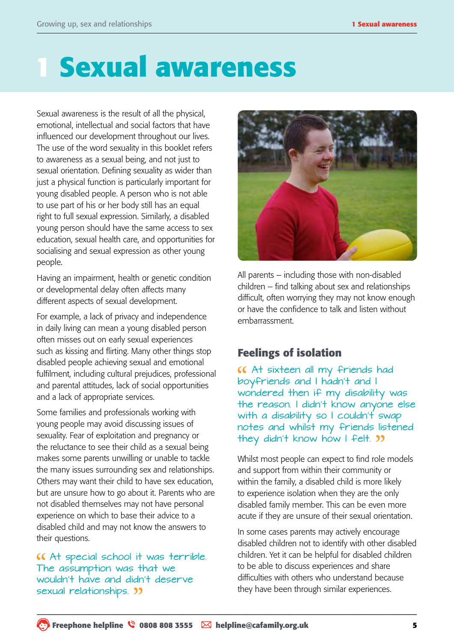# **1 Sexual awareness**

Sexual awareness is the result of all the physical, emotional, intellectual and social factors that have influenced our development throughout our lives. The use of the word sexuality in this booklet refers to awareness as a sexual being, and not just to sexual orientation. Defining sexuality as wider than just a physical function is particularly important for young disabled people. A person who is not able to use part of his or her body still has an equal right to full sexual expression. Similarly, a disabled young person should have the same access to sex education, sexual health care, and opportunities for socialising and sexual expression as other young people.

Having an impairment, health or genetic condition or developmental delay often affects many different aspects of sexual development.

For example, a lack of privacy and independence in daily living can mean a young disabled person often misses out on early sexual experiences such as kissing and flirting. Many other things stop disabled people achieving sexual and emotional fulfilment, including cultural prejudices, professional and parental attitudes, lack of social opportunities and a lack of appropriate services.

Some families and professionals working with young people may avoid discussing issues of sexuality. Fear of exploitation and pregnancy or the reluctance to see their child as a sexual being makes some parents unwilling or unable to tackle the many issues surrounding sex and relationships. Others may want their child to have sex education, but are unsure how to go about it. Parents who are not disabled themselves may not have personal experience on which to base their advice to a disabled child and may not know the answers to their questions.

At special school it was terrible. The assumption was that we wouldn't have and didn't deserve sexual relationships.  $\sum$ 



All parents – including those with non-disabled children – find talking about sex and relationships difficult, often worrying they may not know enough or have the confidence to talk and listen without embarrassment.

#### **Feelings of isolation**

At sixteen all my friends had boyfriends and I hadn't and I wondered then if my disability was the reason. I didn't know anyone else with a disability so I couldn't swap notes and whilst my friends listened they didn't know how I felt. "

Whilst most people can expect to find role models and support from within their community or within the family, a disabled child is more likely to experience isolation when they are the only disabled family member. This can be even more acute if they are unsure of their sexual orientation.

In some cases parents may actively encourage disabled children not to identify with other disabled children. Yet it can be helpful for disabled children to be able to discuss experiences and share difficulties with others who understand because they have been through similar experiences.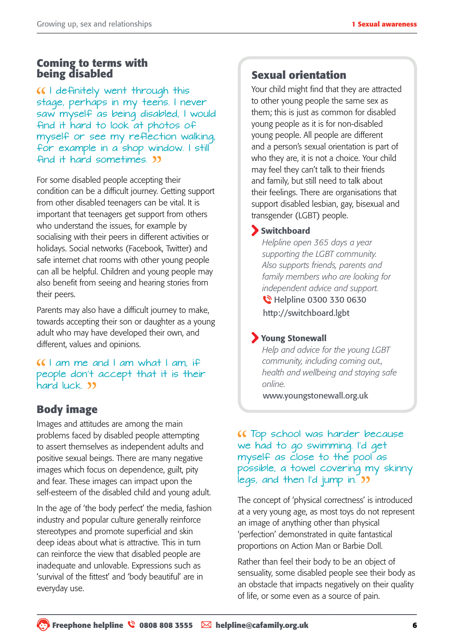#### **Coming to terms with being disabled**

I definitely went through this stage, perhaps in my teens. I never saw myself as being disabled, I would find it hard to look at photos of myself or see my reflection walking, for example in a shop window. I still find it hard sometimes.

For some disabled people accepting their condition can be a difficult journey. Getting support from other disabled teenagers can be vital. It is important that teenagers get support from others who understand the issues, for example by socialising with their peers in different activities or holidays. Social networks (Facebook, Twitter) and safe internet chat rooms with other young people can all be helpful. Children and young people may also benefit from seeing and hearing stories from their peers.

Parents may also have a difficult journey to make, towards accepting their son or daughter as a young adult who may have developed their own, and different, values and opinions.

 $II$  am me and I am what I am, if people don't accept that it is their hard luck. **33** 

### **Body image**

Images and attitudes are among the main problems faced by disabled people attempting to assert themselves as independent adults and positive sexual beings. There are many negative images which focus on dependence, guilt, pity and fear. These images can impact upon the self-esteem of the disabled child and young adult.

In the age of 'the body perfect' the media, fashion industry and popular culture generally reinforce stereotypes and promote superficial and skin deep ideas about what is attractive. This in turn can reinforce the view that disabled people are inadequate and unlovable. Expressions such as 'survival of the fittest' and 'body beautiful' are in everyday use.

#### **Sexual orientation**

Your child might find that they are attracted to other young people the same sex as them; this is just as common for disabled young people as it is for non-disabled young people. All people are different and a person's sexual orientation is part of who they are, it is not a choice. Your child may feel they can't talk to their friends and family, but still need to talk about their feelings. There are organisations that support disabled lesbian, gay, bisexual and transgender (LGBT) people.

#### Switchboard

*Helpline open 365 days a year supporting the LGBT community. Also supports friends, parents and family members who are looking for independent advice and support.*  **C** Helpline 0300 330 0630 http://switchboard.lgbt

#### Young Stonewall

*Help and advice for the young LGBT community, including coming out., health and wellbeing and staying safe online.*

www.youngstonewall.org.uk

#### Top school was harder because we had to go swimming. I'd get myself as close to the pool as possible, a towel covering my skinny legs, and then I'd jump in. **33**

The concept of 'physical correctness' is introduced at a very young age, as most toys do not represent an image of anything other than physical 'perfection' demonstrated in quite fantastical proportions on Action Man or Barbie Doll.

Rather than feel their body to be an object of sensuality, some disabled people see their body as an obstacle that impacts negatively on their quality of life, or some even as a source of pain.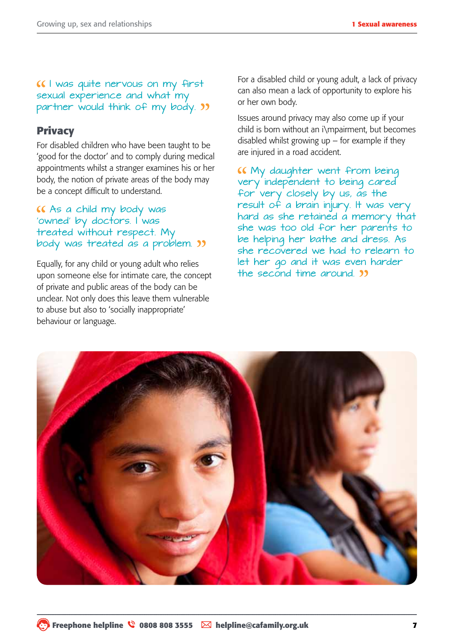#### I was quite nervous on my first sexual experience and what my partner would think of my body. "

#### **Privacy**

For disabled children who have been taught to be 'good for the doctor' and to comply during medical appointments whilst a stranger examines his or her body, the notion of private areas of the body may be a concept difficult to understand.

#### As a child my body was 'owned' by doctors. I was treated without respect. My body was treated as a problem. "

Equally, for any child or young adult who relies upon someone else for intimate care, the concept of private and public areas of the body can be unclear. Not only does this leave them vulnerable to abuse but also to 'socially inappropriate' behaviour or language.

For a disabled child or young adult, a lack of privacy can also mean a lack of opportunity to explore his or her own body.

Issues around privacy may also come up if your child is born without an i\mpairment, but becomes disabled whilst growing up  $-$  for example if they are injured in a road accident.

My daughter went from being very independent to being cared for very closely by us, as the result of a brain injury. It was very hard as she retained a memory that she was too old for her parents to be helping her bathe and dress. As she recovered we had to relearn to let her go and it was even harder the second time around. **39** 

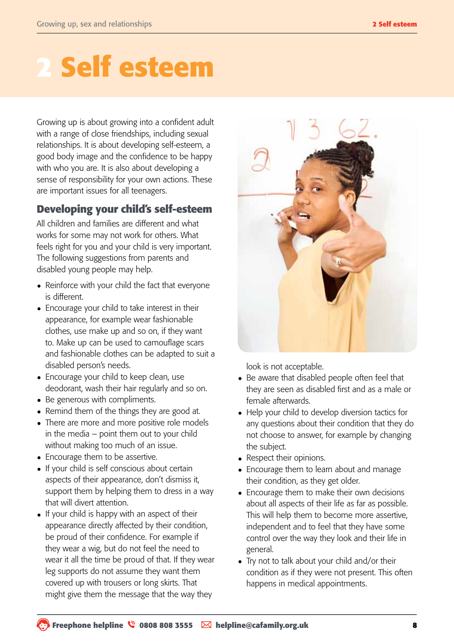# **2 Self esteem**

Growing up is about growing into a confident adult with a range of close friendships, including sexual relationships. It is about developing self-esteem, a good body image and the confidence to be happy with who you are. It is also about developing a sense of responsibility for your own actions. These are important issues for all teenagers.

#### **Developing your child's self-esteem**

All children and families are different and what works for some may not work for others. What feels right for you and your child is very important. The following suggestions from parents and disabled young people may help.

- Reinforce with your child the fact that everyone is different.
- Encourage your child to take interest in their appearance, for example wear fashionable clothes, use make up and so on, if they want to. Make up can be used to camouflage scars and fashionable clothes can be adapted to suit a disabled person's needs.
- Encourage your child to keep clean, use deodorant, wash their hair regularly and so on.
- Be generous with compliments.
- Remind them of the things they are good at.
- There are more and more positive role models in the media – point them out to your child without making too much of an issue.
- Encourage them to be assertive.
- If your child is self conscious about certain aspects of their appearance, don't dismiss it, support them by helping them to dress in a way that will divert attention.
- If your child is happy with an aspect of their appearance directly affected by their condition, be proud of their confidence. For example if they wear a wig, but do not feel the need to wear it all the time be proud of that. If they wear leg supports do not assume they want them covered up with trousers or long skirts. That might give them the message that the way they



look is not acceptable.

- Be aware that disabled people often feel that they are seen as disabled first and as a male or female afterwards.
- Help your child to develop diversion tactics for any questions about their condition that they do not choose to answer, for example by changing the subject.
- Respect their opinions.
- Encourage them to learn about and manage their condition, as they get older.
- Encourage them to make their own decisions about all aspects of their life as far as possible. This will help them to become more assertive, independent and to feel that they have some control over the way they look and their life in general.
- Try not to talk about your child and/or their condition as if they were not present. This often happens in medical appointments.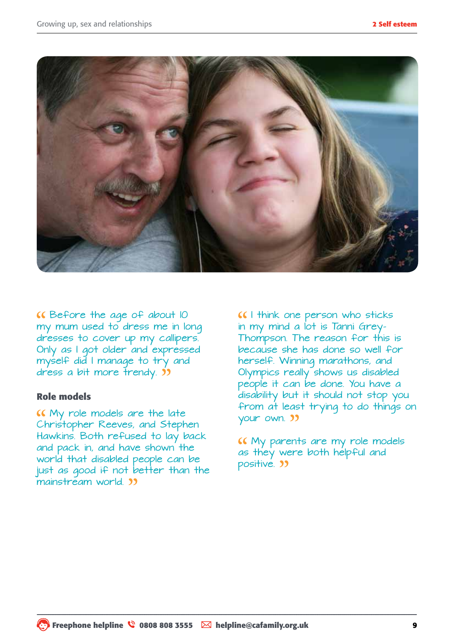

Before the age of about 10 my mum used to dress me in long dresses to cover up my callipers. Only as I got older and expressed myself did I manage to try and dress a bit more trendy. **39** 

#### **Role models**

My role models are the late Christopher Reeves, and Stephen Hawkins. Both refused to lay back and pack in, and have shown the world that disabled people can be just as good if not better than the mainstream world. **33** 

I think one person who sticks in my mind a lot is Tanni Grey-Thompson. The reason for this is because she has done so well for herself. Winning marathons, and Olympics really shows us disabled people it can be done. You have a disability but it should not stop you from at least trying to do things on your own. 33

My parents are my role models as they were both helpful and positive. **33**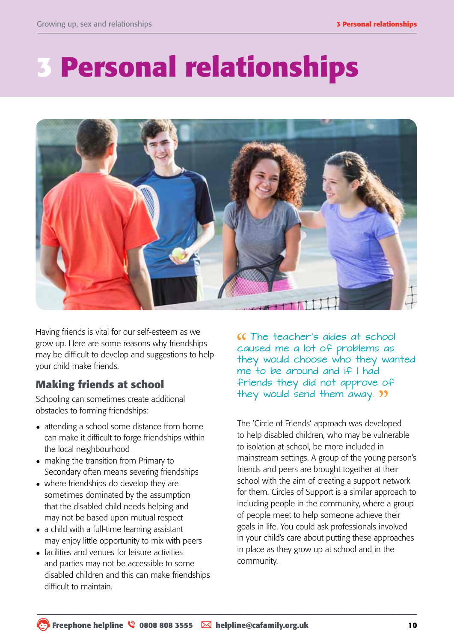# **3 Personal relationships**



Having friends is vital for our self-esteem as we grow up. Here are some reasons why friendships may be difficult to develop and suggestions to help your child make friends.

#### **Making friends at school**

Schooling can sometimes create additional obstacles to forming friendships:

- attending a school some distance from home can make it difficult to forge friendships within the local neighbourhood
- making the transition from Primary to Secondary often means severing friendships
- where friendships do develop they are sometimes dominated by the assumption that the disabled child needs helping and may not be based upon mutual respect
- a child with a full-time learning assistant may enjoy little opportunity to mix with peers
- facilities and venues for leisure activities and parties may not be accessible to some disabled children and this can make friendships difficult to maintain.

The teacher's aides at school caused me a lot of problems as they would choose who they wanted me to be around and if I had friends they did not approve of they would send them away. **33** 

The 'Circle of Friends' approach was developed to help disabled children, who may be vulnerable to isolation at school, be more included in mainstream settings. A group of the young person's friends and peers are brought together at their school with the aim of creating a support network for them. Circles of Support is a similar approach to including people in the community, where a group of people meet to help someone achieve their goals in life. You could ask professionals involved in your child's care about putting these approaches in place as they grow up at school and in the community.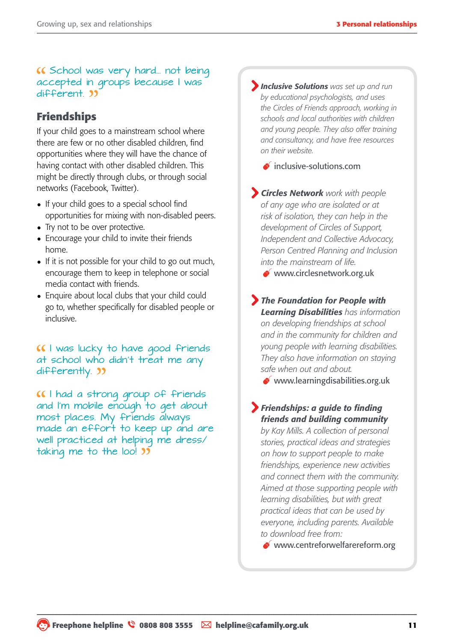K School was very hard... not being accepted in groups because I was different. 33

#### **Friendships**

If your child goes to a mainstream school where there are few or no other disabled children, find opportunities where they will have the chance of having contact with other disabled children. This might be directly through clubs, or through social networks (Facebook, Twitter).

- If your child goes to a special school find opportunities for mixing with non-disabled peers.
- Try not to be over protective.
- Encourage your child to invite their friends home.
- If it is not possible for your child to go out much, encourage them to keep in telephone or social media contact with friends.
- Enquire about local clubs that your child could go to, whether specifically for disabled people or inclusive.

I was lucky to have good friends at school who didn't treat me any differently.  $\frac{1}{2}$ 

I had a strong group of friends and I'm mobile enough to get about most places. My friends always made an effort to keep up and are well practiced at helping me dress/ taking me to the loo! **35** 

*Inclusive Solutions was set up and run by educational psychologists, and uses the Circles of Friends approach, working in schools and local authorities with children and young people. They also offer training and consultancy, and have free resources on their website.* 

 $\bullet$  inclusive-solutions.com

*Circles Network work with people of any age who are isolated or at risk of isolation, they can help in the development of Circles of Support, Independent and Collective Advocacy, Person Centred Planning and Inclusion into the mainstream of life.* 

www.circlesnetwork.org.uk

*The Foundation for People with Learning Disabilities has information on developing friendships at school and in the community for children and young people with learning disabilities. They also have information on staying safe when out and about.*

www.learningdisabilities.org.uk

#### *Friendships: a guide to finding friends and building community*

*by Kay Mills. A collection of personal stories, practical ideas and strategies on how to support people to make friendships, experience new activities and connect them with the community. Aimed at those supporting people with learning disabilities, but with great practical ideas that can be used by everyone, including parents. Available to download free from:*

[www.centreforwelfarereform.org](http://www.centreforwelfarereform.org/library/by-date/friendship.html)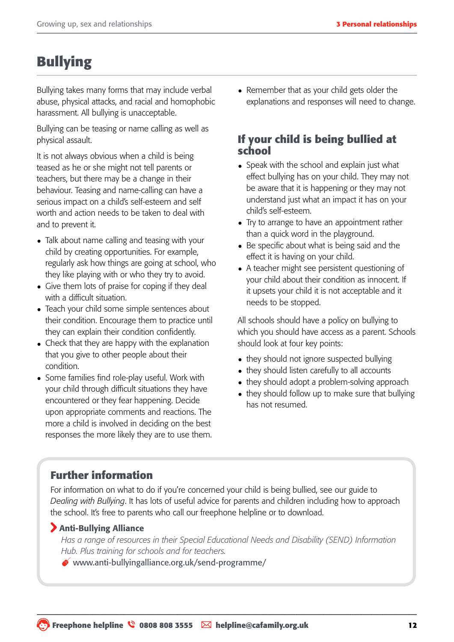## **Bullying**

Bullying takes many forms that may include verbal abuse, physical attacks, and racial and homophobic harassment. All bullying is unacceptable.

Bullying can be teasing or name calling as well as physical assault.

It is not always obvious when a child is being teased as he or she might not tell parents or teachers, but there may be a change in their behaviour. Teasing and name-calling can have a serious impact on a child's self-esteem and self worth and action needs to be taken to deal with and to prevent it.

- Talk about name calling and teasing with your child by creating opportunities. For example, regularly ask how things are going at school, who they like playing with or who they try to avoid.
- Give them lots of praise for coping if they deal with a difficult situation.
- Teach your child some simple sentences about their condition. Encourage them to practice until they can explain their condition confidently.
- Check that they are happy with the explanation that you give to other people about their condition.
- Some families find role-play useful. Work with your child through difficult situations they have encountered or they fear happening. Decide upon appropriate comments and reactions. The more a child is involved in deciding on the best responses the more likely they are to use them.

• Remember that as your child gets older the explanations and responses will need to change.

#### **If your child is being bullied at school**

- Speak with the school and explain just what effect bullying has on your child. They may not be aware that it is happening or they may not understand just what an impact it has on your child's self-esteem.
- Try to arrange to have an appointment rather than a quick word in the playground.
- Be specific about what is being said and the effect it is having on your child.
- A teacher might see persistent questioning of your child about their condition as innocent. If it upsets your child it is not acceptable and it needs to be stopped.

All schools should have a policy on bullying to which you should have access as a parent. Schools should look at four key points:

- they should not ignore suspected bullying
- they should listen carefully to all accounts
- they should adopt a problem-solving approach
- they should follow up to make sure that bullying has not resumed.

#### **Further information**

For information on what to do if you're concerned your child is being bullied, see our guide to *Dealing with Bullying*. It has lots of useful advice for parents and children including how to approach the school. It's free to parents who call our freephone helpline or to download.

#### Anti-Bullying Alliance

*Has a range of resources in their Special Educational Needs and Disability (SEND) Information Hub. Plus training for schools and for teachers.*

www.anti-bullyingalliance.org.uk/send-programme/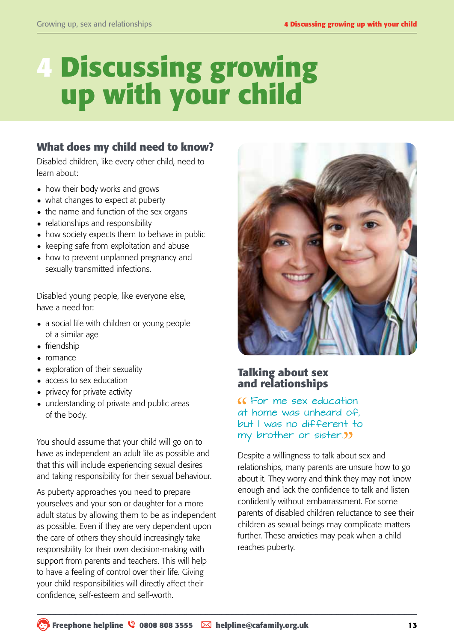# **4 Discussing growing up with your child**

#### **What does my child need to know?**

Disabled children, like every other child, need to learn about:

- how their body works and grows
- what changes to expect at puberty
- the name and function of the sex organs
- relationships and responsibility
- how society expects them to behave in public
- keeping safe from exploitation and abuse
- how to prevent unplanned pregnancy and sexually transmitted infections.

Disabled young people, like everyone else, have a need for:

- a social life with children or young people of a similar age
- friendship
- romance
- exploration of their sexuality
- access to sex education
- privacy for private activity
- understanding of private and public areas of the body.

You should assume that your child will go on to have as independent an adult life as possible and that this will include experiencing sexual desires and taking responsibility for their sexual behaviour.

As puberty approaches you need to prepare yourselves and your son or daughter for a more adult status by allowing them to be as independent as possible. Even if they are very dependent upon the care of others they should increasingly take responsibility for their own decision-making with support from parents and teachers. This will help to have a feeling of control over their life. Giving your child responsibilities will directly affect their confidence, self-esteem and self-worth.



#### **Talking about sex and relationships**

#### For me sex education at home was unheard of, but I was no different to my brother or sister.

Despite a willingness to talk about sex and relationships, many parents are unsure how to go about it. They worry and think they may not know enough and lack the confidence to talk and listen confidently without embarrassment. For some parents of disabled children reluctance to see their children as sexual beings may complicate matters further. These anxieties may peak when a child reaches puberty.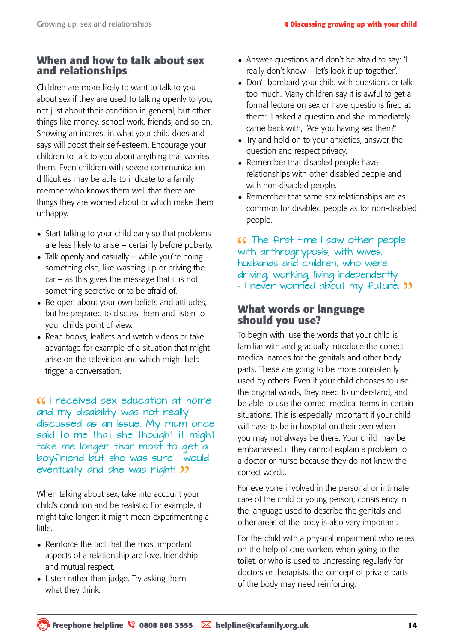#### **When and how to talk about sex and relationships**

Children are more likely to want to talk to you about sex if they are used to talking openly to you, not just about their condition in general, but other things like money, school work, friends, and so on. Showing an interest in what your child does and says will boost their self-esteem. Encourage your children to talk to you about anything that worries them. Even children with severe communication difficulties may be able to indicate to a family member who knows them well that there are things they are worried about or which make them unhappy.

- Start talking to your child early so that problems are less likely to arise – certainly before puberty.
- Talk openly and casually while you're doing something else, like washing up or driving the car – as this gives the message that it is not something secretive or to be afraid of.
- Be open about your own beliefs and attitudes, but be prepared to discuss them and listen to your child's point of view.
- Read books, leaflets and watch videos or take advantage for example of a situation that might arise on the television and which might help trigger a conversation.

I received sex education at home and my disability was not really discussed as an issue. My mum once said to me that she thought it might take me longer than most to get a boyfriend but she was sure I would eventually and she was right!

When talking about sex, take into account your child's condition and be realistic. For example, it might take longer; it might mean experimenting a little.

- Reinforce the fact that the most important aspects of a relationship are love, friendship and mutual respect.
- Listen rather than judge. Try asking them what they think.
- Answer questions and don't be afraid to say: 'I really don't know – let's look it up together'.
- Don't bombard your child with questions or talk too much. Many children say it is awful to get a formal lecture on sex or have questions fired at them: 'I asked a question and she immediately came back with, "Are you having sex then?"
- Try and hold on to your anxieties, answer the question and respect privacy.
- Remember that disabled people have relationships with other disabled people and with non-disabled people.
- Remember that same sex relationships are as common for disabled people as for non-disabled people.

The first time I saw other people with arthrogryposis, with wives, husbands and children, who were driving, working, living independently - I never worried about my future. **33** 

#### **What words or language should you use?**

To begin with, use the words that your child is familiar with and gradually introduce the correct medical names for the genitals and other body parts. These are going to be more consistently used by others. Even if your child chooses to use the original words, they need to understand, and be able to use the correct medical terms in certain situations. This is especially important if your child will have to be in hospital on their own when you may not always be there. Your child may be embarrassed if they cannot explain a problem to a doctor or nurse because they do not know the correct words.

For everyone involved in the personal or intimate care of the child or young person, consistency in the language used to describe the genitals and other areas of the body is also very important.

For the child with a physical impairment who relies on the help of care workers when going to the toilet, or who is used to undressing regularly for doctors or therapists, the concept of private parts of the body may need reinforcing.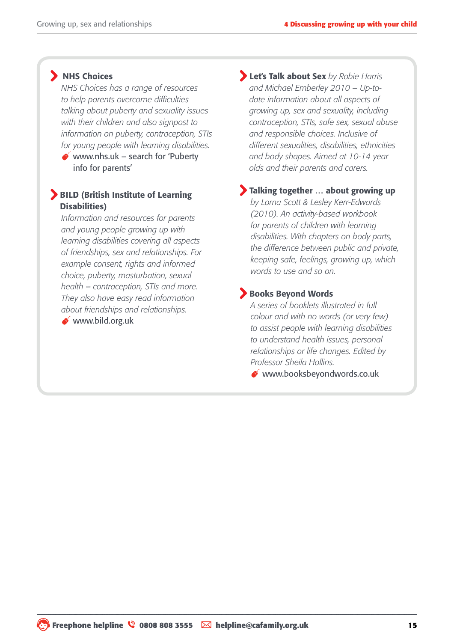#### **NHS Choices**

*NHS Choices has a range of resources to help parents overcome difficulties talking about puberty and sexuality issues with their children and also signpost to information on puberty, contraception, STIs for young people with learning disabilities.*

www.nhs.uk – search for 'Puberty' info for parents'

#### BILD (British Institute of Learning Disabilities)

*Information and resources for parents and young people growing up with learning disabilities covering all aspects of friendships, sex and relationships. For example consent, rights and informed choice, puberty, masturbation, sexual health* – *contraception, STIs and more. They also have easy read information about friendships and relationships.*

[www.bild.org.uk](http://www.bild.org.uk/)

Let's Talk about Sex *by Robie Harris and Michael Emberley 2010 – Up-todate information about all aspects of growing up, sex and sexuality, including contraception, STIs, safe sex, sexual abuse and responsible choices. Inclusive of different sexualities, disabilities, ethnicities and body shapes. Aimed at 10-14 year olds and their parents and carers.* 

#### Talking together … about growing up

*by Lorna Scott & Lesley Kerr-Edwards (2010). An activity-based workbook for parents of children with learning disabilities. With chapters on body parts, the difference between public and private, keeping safe, feelings, growing up, which words to use and so on.*

#### Books Beyond Words

*A series of booklets illustrated in full colour and with no words (or very few) to assist people with learning disabilities to understand health issues, personal relationships or life changes. Edited by Professor Sheila Hollins.* 

www.booksbeyondwords.co.uk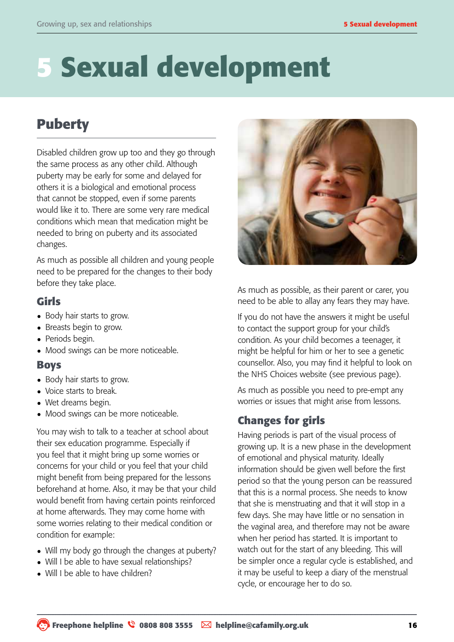# **5 Sexual development**

## **Puberty**

Disabled children grow up too and they go through the same process as any other child. Although puberty may be early for some and delayed for others it is a biological and emotional process that cannot be stopped, even if some parents would like it to. There are some very rare medical conditions which mean that medication might be needed to bring on puberty and its associated changes.

As much as possible all children and young people need to be prepared for the changes to their body before they take place.

#### **Girls**

- Body hair starts to grow.
- Breasts begin to grow.
- Periods begin.
- Mood swings can be more noticeable.

#### **Boys**

- Body hair starts to grow.
- Voice starts to break.
- Wet dreams begin.
- Mood swings can be more noticeable.

You may wish to talk to a teacher at school about their sex education programme. Especially if you feel that it might bring up some worries or concerns for your child or you feel that your child might benefit from being prepared for the lessons beforehand at home. Also, it may be that your child would benefit from having certain points reinforced at home afterwards. They may come home with some worries relating to their medical condition or condition for example:

- Will my body go through the changes at puberty?
- Will I be able to have sexual relationships?
- Will I be able to have children?



As much as possible, as their parent or carer, you need to be able to allay any fears they may have.

If you do not have the answers it might be useful to contact the support group for your child's condition. As your child becomes a teenager, it might be helpful for him or her to see a genetic counsellor. Also, you may find it helpful to look on the NHS Choices website (see previous page).

As much as possible you need to pre-empt any worries or issues that might arise from lessons.

#### **Changes for girls**

Having periods is part of the visual process of growing up. It is a new phase in the development of emotional and physical maturity. Ideally information should be given well before the first period so that the young person can be reassured that this is a normal process. She needs to know that she is menstruating and that it will stop in a few days. She may have little or no sensation in the vaginal area, and therefore may not be aware when her period has started. It is important to watch out for the start of any bleeding. This will be simpler once a regular cycle is established, and it may be useful to keep a diary of the menstrual cycle, or encourage her to do so.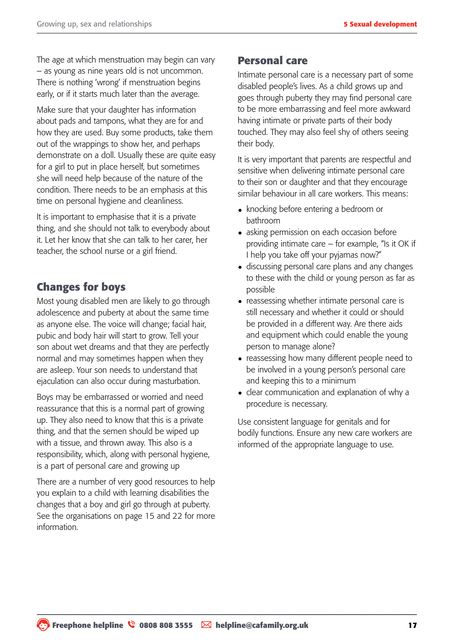The age at which menstruation may begin can vary – as young as nine years old is not uncommon. There is nothing 'wrong' if menstruation begins early, or if it starts much later than the average.

Make sure that your daughter has information about pads and tampons, what they are for and how they are used. Buy some products, take them out of the wrappings to show her, and perhaps demonstrate on a doll. Usually these are quite easy for a girl to put in place herself, but sometimes she will need help because of the nature of the condition. There needs to be an emphasis at this time on personal hygiene and cleanliness.

It is important to emphasise that it is a private thing, and she should not talk to everybody about it. Let her know that she can talk to her carer, her teacher, the school nurse or a girl friend.

#### **Changes for boys**

Most young disabled men are likely to go through adolescence and puberty at about the same time as anyone else. The voice will change; facial hair, pubic and body hair will start to grow. Tell your son about wet dreams and that they are perfectly normal and may sometimes happen when they are asleep. Your son needs to understand that ejaculation can also occur during masturbation.

Boys may be embarrassed or worried and need reassurance that this is a normal part of growing up. They also need to know that this is a private thing, and that the semen should be wiped up with a tissue, and thrown away. This also is a responsibility, which, along with personal hygiene, is a part of personal care and growing up

There are a number of very good resources to help you explain to a child with learning disabilities the changes that a boy and girl go through at puberty. See the organisations on page 15 and 22 for more information.

#### **Personal care**

Intimate personal care is a necessary part of some disabled people's lives. As a child grows up and goes through puberty they may find personal care to be more embarrassing and feel more awkward having intimate or private parts of their body touched. They may also feel shy of others seeing their body.

It is very important that parents are respectful and sensitive when delivering intimate personal care to their son or daughter and that they encourage similar behaviour in all care workers. This means:

- knocking before entering a bedroom or bathroom
- asking permission on each occasion before providing intimate care – for example, "Is it OK if I help you take off your pyjamas now?"
- discussing personal care plans and any changes to these with the child or young person as far as possible
- reassessing whether intimate personal care is still necessary and whether it could or should be provided in a different way. Are there aids and equipment which could enable the young person to manage alone?
- reassessing how many different people need to be involved in a young person's personal care and keeping this to a minimum
- clear communication and explanation of why a procedure is necessary.

Use consistent language for genitals and for bodily functions. Ensure any new care workers are informed of the appropriate language to use.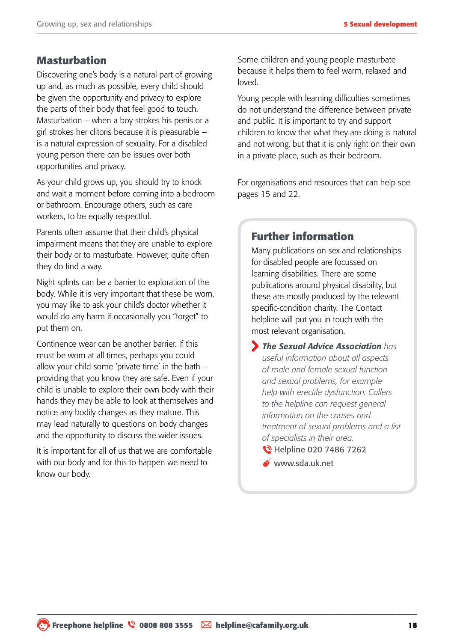#### **Masturbation**

Discovering one's body is a natural part of growing up and, as much as possible, every child should be given the opportunity and privacy to explore the parts of their body that feel good to touch. Masturbation – when a boy strokes his penis or a girl strokes her clitoris because it is pleasurable – is a natural expression of sexuality. For a disabled young person there can be issues over both opportunities and privacy.

As your child grows up, you should try to knock and wait a moment before coming into a bedroom or bathroom. Encourage others, such as care workers, to be equally respectful.

Parents often assume that their child's physical impairment means that they are unable to explore their body or to masturbate. However, quite often they do find a way.

Night splints can be a barrier to exploration of the body. While it is very important that these be worn, you may like to ask your child's doctor whether it would do any harm if occasionally you "forget" to put them on.

Continence wear can be another barrier. If this must be worn at all times, perhaps you could allow your child some 'private time' in the bath – providing that you know they are safe. Even if your child is unable to explore their own body with their hands they may be able to look at themselves and notice any bodily changes as they mature. This may lead naturally to questions on body changes and the opportunity to discuss the wider issues.

It is important for all of us that we are comfortable with our body and for this to happen we need to know our body.

Some children and young people masturbate because it helps them to feel warm, relaxed and loved.

Young people with learning difficulties sometimes do not understand the difference between private and public. It is important to try and support children to know that what they are doing is natural and not wrong, but that it is only right on their own in a private place, such as their bedroom.

For organisations and resources that can help see pages 15 and 22.

#### **Further information**

Many publications on sex and relationships for disabled people are focussed on learning disabilities. There are some publications around physical disability, but these are mostly produced by the relevant specific-condition charity. The Contact helpline will put you in touch with the most relevant organisation.

 *The Sexual Advice Association has useful information about all aspects of male and female sexual function and sexual problems, for example help with erectile dysfunction. Callers to the helpline can request general information on the causes and treatment of sexual problems and a list of specialists in their area.* 

- **C** Helpline 020 7486 7262
- www.sda.uk.net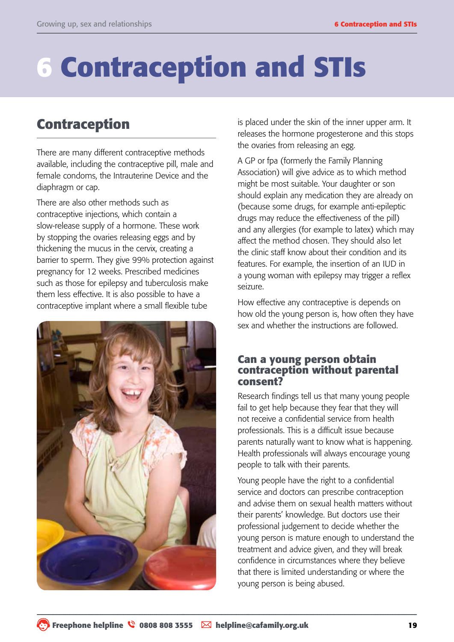# **6 Contraception and STIs**

### **Contraception**

There are many different contraceptive methods available, including the contraceptive pill, male and female condoms, the Intrauterine Device and the diaphragm or cap.

There are also other methods such as contraceptive injections, which contain a slow-release supply of a hormone. These work by stopping the ovaries releasing eggs and by thickening the mucus in the cervix, creating a barrier to sperm. They give 99% protection against pregnancy for 12 weeks. Prescribed medicines such as those for epilepsy and tuberculosis make them less effective. It is also possible to have a contraceptive implant where a small flexible tube



is placed under the skin of the inner upper arm. It releases the hormone progesterone and this stops the ovaries from releasing an egg.

A GP or fpa (formerly the Family Planning Association) will give advice as to which method might be most suitable. Your daughter or son should explain any medication they are already on (because some drugs, for example anti-epileptic drugs may reduce the effectiveness of the pill) and any allergies (for example to latex) which may affect the method chosen. They should also let the clinic staff know about their condition and its features. For example, the insertion of an IUD in a young woman with epilepsy may trigger a reflex seizure.

How effective any contraceptive is depends on how old the young person is, how often they have sex and whether the instructions are followed.

#### **Can a young person obtain contraception without parental consent?**

Research findings tell us that many young people fail to get help because they fear that they will not receive a confidential service from health professionals. This is a difficult issue because parents naturally want to know what is happening. Health professionals will always encourage young people to talk with their parents.

Young people have the right to a confidential service and doctors can prescribe contraception and advise them on sexual health matters without their parents' knowledge. But doctors use their professional judgement to decide whether the young person is mature enough to understand the treatment and advice given, and they will break confidence in circumstances where they believe that there is limited understanding or where the young person is being abused.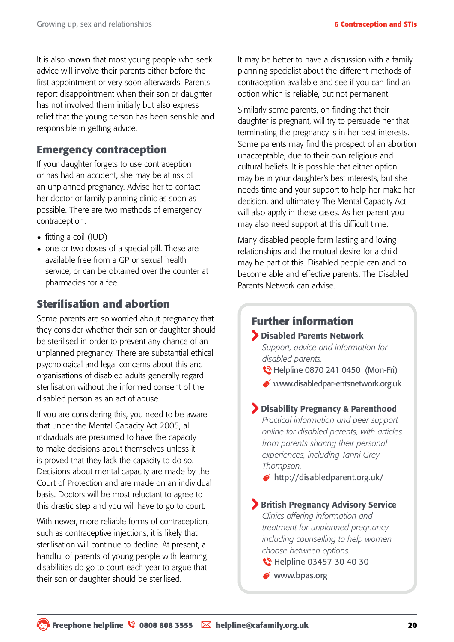It is also known that most young people who seek advice will involve their parents either before the first appointment or very soon afterwards. Parents report disappointment when their son or daughter has not involved them initially but also express relief that the young person has been sensible and responsible in getting advice.

#### **Emergency contraception**

If your daughter forgets to use contraception or has had an accident, she may be at risk of an unplanned pregnancy. Advise her to contact her doctor or family planning clinic as soon as possible. There are two methods of emergency contraception:

- fitting a coil (IUD)
- one or two doses of a special pill. These are available free from a GP or sexual health service, or can be obtained over the counter at pharmacies for a fee.

#### **Sterilisation and abortion**

Some parents are so worried about pregnancy that they consider whether their son or daughter should be sterilised in order to prevent any chance of an unplanned pregnancy. There are substantial ethical, psychological and legal concerns about this and organisations of disabled adults generally regard sterilisation without the informed consent of the disabled person as an act of abuse.

If you are considering this, you need to be aware that under the Mental Capacity Act 2005, all individuals are presumed to have the capacity to make decisions about themselves unless it is proved that they lack the capacity to do so. Decisions about mental capacity are made by the Court of Protection and are made on an individual basis. Doctors will be most reluctant to agree to this drastic step and you will have to go to court.

With newer, more reliable forms of contraception, such as contraceptive injections, it is likely that sterilisation will continue to decline. At present, a handful of parents of young people with learning disabilities do go to court each year to argue that their son or daughter should be sterilised.

It may be better to have a discussion with a family planning specialist about the different methods of contraception available and see if you can find an option which is reliable, but not permanent.

Similarly some parents, on finding that their daughter is pregnant, will try to persuade her that terminating the pregnancy is in her best interests. Some parents may find the prospect of an abortion unacceptable, due to their own religious and cultural beliefs. It is possible that either option may be in your daughter's best interests, but she needs time and your support to help her make her decision, and ultimately The Mental Capacity Act will also apply in these cases. As her parent you may also need support at this difficult time.

Many disabled people form lasting and loving relationships and the mutual desire for a child may be part of this. Disabled people can and do become able and effective parents. The Disabled Parents Network can advise.

#### **Further information**

Disabled Parents Network

*Support, advice and information for disabled parents.*

- **C** Helpline 0870 241 0450 (Mon-Fri)
- www.disabledpar-entsnetwork.org.uk

#### Disability Pregnancy & Parenthood

*Practical information and peer support online for disabled parents, with articles from parents sharing their personal experiences, including Tanni Grey Thompson.*

http://disabledparent.org.uk/

**British Pregnancy Advisory Service** *Clinics offering information and treatment for unplanned pregnancy including counselling to help women choose between options.* 

- **C** Helpline 03457 30 40 30
- www.bpas.org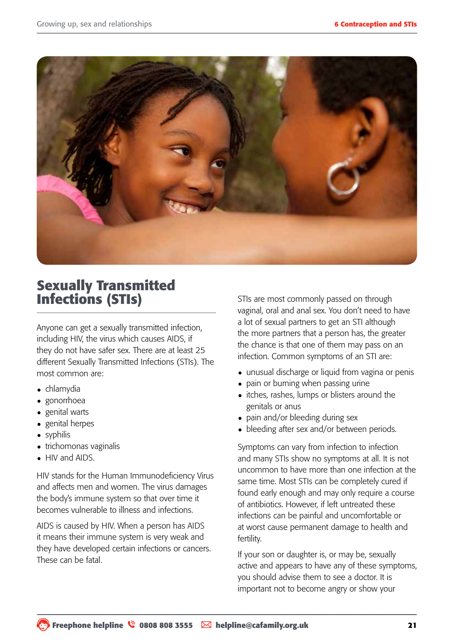

### **Sexually Transmitted Infections (STIs)**

Anyone can get a sexually transmitted infection, including HIV, the virus which causes AIDS, if they do not have safer sex. There are at least 25 different Sexually Transmitted Infections (STIs). The most common are:

- chlamydia
- gonorrhoea
- genital warts
- genital herpes
- syphilis
- trichomonas vaginalis
- HIV and AIDS.

HIV stands for the Human Immunodeficiency Virus and affects men and women. The virus damages the body's immune system so that over time it becomes vulnerable to illness and infections.

AIDS is caused by HIV. When a person has AIDS it means their immune system is very weak and they have developed certain infections or cancers. These can be fatal.

STIs are most commonly passed on through vaginal, oral and anal sex. You don't need to have a lot of sexual partners to get an STI although the more partners that a person has, the greater the chance is that one of them may pass on an infection. Common symptoms of an STI are:

- unusual discharge or liquid from vagina or penis
- pain or burning when passing urine
- itches, rashes, lumps or blisters around the genitals or anus
- pain and/or bleeding during sex
- bleeding after sex and/or between periods.

Symptoms can vary from infection to infection and many STIs show no symptoms at all. It is not uncommon to have more than one infection at the same time. Most STIs can be completely cured if found early enough and may only require a course of antibiotics. However, if left untreated these infections can be painful and uncomfortable or at worst cause permanent damage to health and fertility.

If your son or daughter is, or may be, sexually active and appears to have any of these symptoms, you should advise them to see a doctor. It is important not to become angry or show your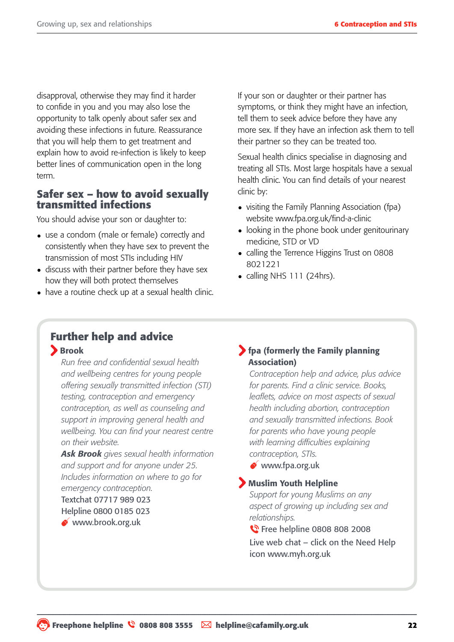disapproval, otherwise they may find it harder to confide in you and you may also lose the opportunity to talk openly about safer sex and avoiding these infections in future. Reassurance that you will help them to get treatment and explain how to avoid re-infection is likely to keep better lines of communication open in the long term.

#### **Safer sex – how to avoid sexually transmitted infections**

You should advise your son or daughter to:

- use a condom (male or female) correctly and consistently when they have sex to prevent the transmission of most STIs including HIV
- discuss with their partner before they have sex how they will both protect themselves
- have a routine check up at a sexual health clinic.

If your son or daughter or their partner has symptoms, or think they might have an infection, tell them to seek advice before they have any more sex. If they have an infection ask them to tell their partner so they can be treated too.

Sexual health clinics specialise in diagnosing and treating all STIs. Most large hospitals have a sexual health clinic. You can find details of your nearest clinic by:

- visiting the Family Planning Association (fpa) website www.fpa.org.uk/find-a-clinic
- looking in the phone book under genitourinary medicine, STD or VD
- calling the Terrence Higgins Trust on 0808 8021221
- calling NHS 111 (24hrs).

# **Further help and advice**

Brook

*Run free and confidential sexual health and wellbeing centres for young people offering sexually transmitted infection (STI) testing, contraception and emergency contraception, as well as counseling and support in improving general health and wellbeing. You can find your nearest centre on their website.*

*Ask Brook gives sexual health information and support and for anyone under 25. Includes information on where to go for emergency contraception.* 

Textchat 07717 989 023 Helpline 0800 0185 023

www.brook.org.uk

#### fpa (formerly the Family planning Association)

*Contraception help and advice, plus advice for parents. Find a clinic service. Books, leaflets, advice on most aspects of sexual health including abortion, contraception and sexually transmitted infections. Book for parents who have young people with learning difficulties explaining contraception, STIs.*

www.fpa.org.uk

#### Muslim Youth Helpline

*Support for young Muslims on any aspect of growing up including sex and relationships.*

**C** Free helpline 0808 808 2008

Live web chat – click on the Need Help icon www.myh.org.uk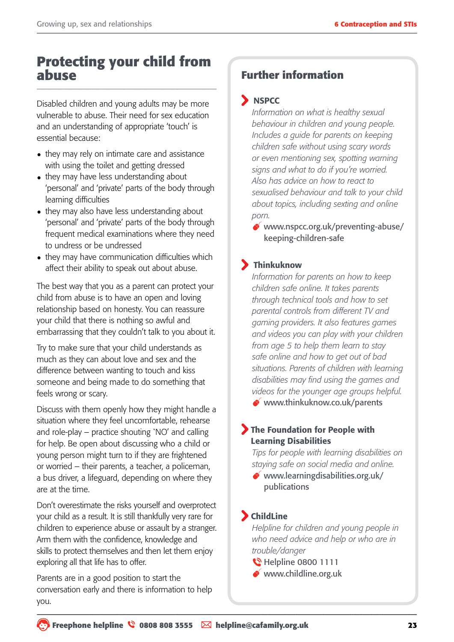### **Protecting your child from abuse**

Disabled children and young adults may be more vulnerable to abuse. Their need for sex education and an understanding of appropriate 'touch' is essential because:

- they may rely on intimate care and assistance with using the toilet and getting dressed
- they may have less understanding about 'personal' and 'private' parts of the body through learning difficulties
- they may also have less understanding about 'personal' and 'private' parts of the body through frequent medical examinations where they need to undress or be undressed
- they may have communication difficulties which affect their ability to speak out about abuse.

The best way that you as a parent can protect your child from abuse is to have an open and loving relationship based on honesty. You can reassure your child that there is nothing so awful and embarrassing that they couldn't talk to you about it.

Try to make sure that your child understands as much as they can about love and sex and the difference between wanting to touch and kiss someone and being made to do something that feels wrong or scary.

Discuss with them openly how they might handle a situation where they feel uncomfortable, rehearse and role-play – practice shouting `NO' and calling for help. Be open about discussing who a child or young person might turn to if they are frightened or worried – their parents, a teacher, a policeman, a bus driver, a lifeguard, depending on where they are at the time.

Don't overestimate the risks yourself and overprotect your child as a result. It is still thankfully very rare for children to experience abuse or assault by a stranger. Arm them with the confidence, knowledge and skills to protect themselves and then let them enjoy exploring all that life has to offer.

Parents are in a good position to start the conversation early and there is information to help you.

### **Further information**

#### **S** NSPCC

*Information on what is healthy sexual behaviour in children and young people. Includes a guide for parents on keeping children safe without using scary words or even mentioning sex, spotting warning signs and what to do if you're worried. Also has advice on how to react to sexualised behaviour and talk to your child about topics, including sexting and online porn.* 

www.nspcc.org.uk/preventing-abuse/ keeping-children-safe

#### Thinkuknow

*Information for parents on how to keep children safe online. It takes parents through technical tools and how to set parental controls from different TV and gaming providers. It also features games and videos you can play with your children from age 5 to help them learn to stay safe online and how to get out of bad situations. Parents of children with learning disabilities may find using the games and videos for the younger age groups helpful.*

www.thinkuknow.co.uk/parents

#### The Foundation for People with Learning Disabilities

*Tips for people with learning disabilities on staying safe on social media and online.*

 $\bullet$  www.learningdisabilities.org.uk/ publications

#### ChildLine

*Helpline for children and young people in who need advice and help or who are in trouble/danger*

- **W** Helpline 0800 1111
- www.childline.org.uk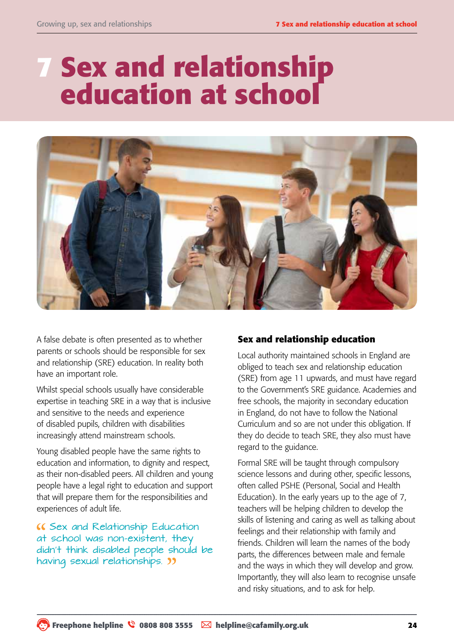# **7 Sex and relationship education at school**

![](_page_23_Picture_3.jpeg)

A false debate is often presented as to whether parents or schools should be responsible for sex and relationship (SRE) education. In reality both have an important role.

Whilst special schools usually have considerable expertise in teaching SRE in a way that is inclusive and sensitive to the needs and experience of disabled pupils, children with disabilities increasingly attend mainstream schools.

Young disabled people have the same rights to education and information, to dignity and respect, as their non-disabled peers. All children and young people have a legal right to education and support that will prepare them for the responsibilities and experiences of adult life.

Sex and Relationship Education at school was non-existent, they didn't think disabled people should be having sexual relationships. **33** 

#### **Sex and relationship education**

Local authority maintained schools in England are obliged to teach sex and relationship education (SRE) from age 11 upwards, and must have regard to the Government's SRE guidance. Academies and free schools, the majority in secondary education in England, do not have to follow the National Curriculum and so are not under this obligation. If they do decide to teach SRE, they also must have regard to the guidance.

Formal SRE will be taught through compulsory science lessons and during other, specific lessons, often called PSHE (Personal, Social and Health Education). In the early years up to the age of 7, teachers will be helping children to develop the skills of listening and caring as well as talking about feelings and their relationship with family and friends. Children will learn the names of the body parts, the differences between male and female and the ways in which they will develop and grow. Importantly, they will also learn to recognise unsafe and risky situations, and to ask for help.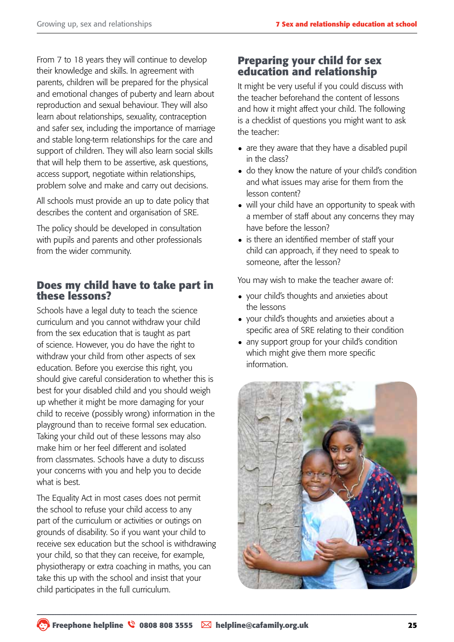From 7 to 18 years they will continue to develop their knowledge and skills. In agreement with parents, children will be prepared for the physical and emotional changes of puberty and learn about reproduction and sexual behaviour. They will also learn about relationships, sexuality, contraception and safer sex, including the importance of marriage and stable long-term relationships for the care and support of children. They will also learn social skills that will help them to be assertive, ask questions, access support, negotiate within relationships, problem solve and make and carry out decisions.

All schools must provide an up to date policy that describes the content and organisation of SRE.

The policy should be developed in consultation with pupils and parents and other professionals from the wider community.

#### **Does my child have to take part in these lessons?**

Schools have a legal duty to teach the science curriculum and you cannot withdraw your child from the sex education that is taught as part of science. However, you do have the right to withdraw your child from other aspects of sex education. Before you exercise this right, you should give careful consideration to whether this is best for your disabled child and you should weigh up whether it might be more damaging for your child to receive (possibly wrong) information in the playground than to receive formal sex education. Taking your child out of these lessons may also make him or her feel different and isolated from classmates. Schools have a duty to discuss your concerns with you and help you to decide what is best.

The Equality Act in most cases does not permit the school to refuse your child access to any part of the curriculum or activities or outings on grounds of disability. So if you want your child to receive sex education but the school is withdrawing your child, so that they can receive, for example, physiotherapy or extra coaching in maths, you can take this up with the school and insist that your child participates in the full curriculum.

#### **Preparing your child for sex education and relationship**

It might be very useful if you could discuss with the teacher beforehand the content of lessons and how it might affect your child. The following is a checklist of questions you might want to ask the teacher:

- are they aware that they have a disabled pupil in the class?
- do they know the nature of your child's condition and what issues may arise for them from the lesson content?
- will your child have an opportunity to speak with a member of staff about any concerns they may have before the lesson?
- is there an identified member of staff your child can approach, if they need to speak to someone, after the lesson?

You may wish to make the teacher aware of:

- your child's thoughts and anxieties about the lessons
- your child's thoughts and anxieties about a specific area of SRE relating to their condition
- any support group for your child's condition which might give them more specific information.

![](_page_24_Picture_18.jpeg)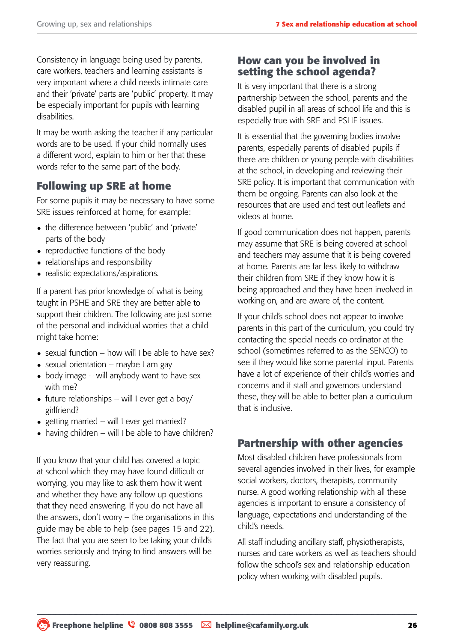Consistency in language being used by parents, care workers, teachers and learning assistants is very important where a child needs intimate care and their 'private' parts are 'public' property. It may be especially important for pupils with learning disabilities.

It may be worth asking the teacher if any particular words are to be used. If your child normally uses a different word, explain to him or her that these words refer to the same part of the body.

#### **Following up SRE at home**

For some pupils it may be necessary to have some SRE issues reinforced at home, for example:

- the difference between 'public' and 'private' parts of the body
- reproductive functions of the body
- relationships and responsibility
- realistic expectations/aspirations.

If a parent has prior knowledge of what is being taught in PSHE and SRE they are better able to support their children. The following are just some of the personal and individual worries that a child might take home:

- $\bullet$  sexual function how will I be able to have sex?
- $\bullet$  sexual orientation maybe I am gay
- $\bullet$  body image will anybody want to have sex with me?
- future relationships will I ever get a boy/ girlfriend?
- getting married will I ever get married?
- $\bullet$  having children will I be able to have children?

If you know that your child has covered a topic at school which they may have found difficult or worrying, you may like to ask them how it went and whether they have any follow up questions that they need answering. If you do not have all the answers, don't worry – the organisations in this guide may be able to help (see pages 15 and 22). The fact that you are seen to be taking your child's worries seriously and trying to find answers will be very reassuring.

#### **How can you be involved in setting the school agenda?**

It is very important that there is a strong partnership between the school, parents and the disabled pupil in all areas of school life and this is especially true with SRE and PSHE issues.

It is essential that the governing bodies involve parents, especially parents of disabled pupils if there are children or young people with disabilities at the school, in developing and reviewing their SRE policy. It is important that communication with them be ongoing. Parents can also look at the resources that are used and test out leaflets and videos at home.

If good communication does not happen, parents may assume that SRE is being covered at school and teachers may assume that it is being covered at home. Parents are far less likely to withdraw their children from SRE if they know how it is being approached and they have been involved in working on, and are aware of, the content.

If your child's school does not appear to involve parents in this part of the curriculum, you could try contacting the special needs co-ordinator at the school (sometimes referred to as the SENCO) to see if they would like some parental input. Parents have a lot of experience of their child's worries and concerns and if staff and governors understand these, they will be able to better plan a curriculum that is inclusive.

#### **Partnership with other agencies**

Most disabled children have professionals from several agencies involved in their lives, for example social workers, doctors, therapists, community nurse. A good working relationship with all these agencies is important to ensure a consistency of language, expectations and understanding of the child's needs.

All staff including ancillary staff, physiotherapists, nurses and care workers as well as teachers should follow the school's sex and relationship education policy when working with disabled pupils.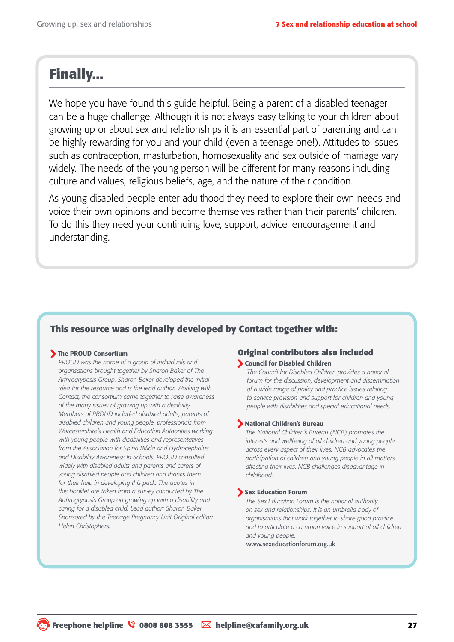### **Finally...**

We hope you have found this guide helpful. Being a parent of a disabled teenager can be a huge challenge. Although it is not always easy talking to your children about growing up or about sex and relationships it is an essential part of parenting and can be highly rewarding for you and your child (even a teenage one!). Attitudes to issues such as contraception, masturbation, homosexuality and sex outside of marriage vary widely. The needs of the young person will be different for many reasons including culture and values, religious beliefs, age, and the nature of their condition.

As young disabled people enter adulthood they need to explore their own needs and voice their own opinions and become themselves rather than their parents' children. To do this they need your continuing love, support, advice, encouragement and understanding.

#### **This resource was originally developed by Contact together with:**

#### The PROUD Consortium

*PROUD was the name of a group of individuals and organsations brought together by Sharon Baker of The Arthrogryposis Group. Sharon Baker developed the initial idea for the resource and is the lead author. Working with Contact, the consortium came together to raise awareness of the many issues of growing up with a disability. Members of PROUD included disabled adults, parents of disabled children and young people, professionals from Worcestershire's Health and Education Authorities working with young people with disabilities and representatives from the Association for Spina Bifida and Hydrocephalus and Disability Awareness In Schools. PROUD consulted widely with disabled adults and parents and carers of young disabled people and children and thanks them for their help in developing this pack. The quotes in this booklet are taken from a survey conducted by The Arthrogryposis Group on growing up with a disability and caring for a disabled child. Lead author: Sharon Baker. Sponsored by the Teenage Pregnancy Unit Original editor: Helen Christophers.*

#### **Original contributors also included**  Council for Disabled Children

*The Council for Disabled Children provides a national forum for the discussion, development and dissemination of a wide range of policy and practice issues relating to service provision and support for children and young people with disabilities and special educational needs.*

#### National Children's Bureau

*The National Children's Bureau (NCB) promotes the interests and wellbeing of all children and young people across every aspect of their lives. NCB advocates the participation of children and young people in all matters affecting their lives. NCB challenges disadvantage in childhood.*

#### Sex Education Forum

*The Sex Education Forum is the national authority on sex and relationships. It is an umbrella body of organisations that work together to share good practice and to articulate a common voice in support of all children and young people.*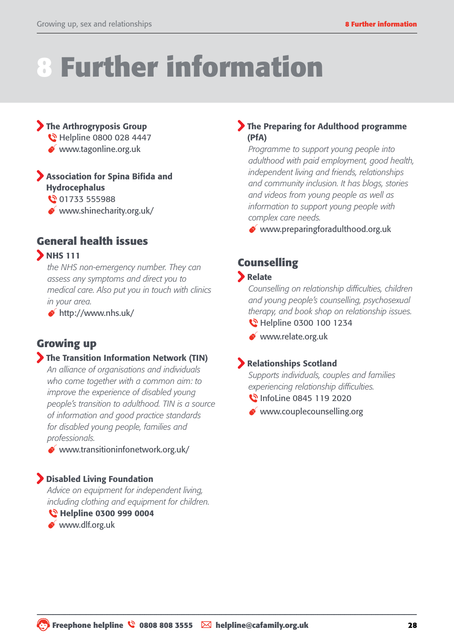# **8 Further information**

#### The Arthrogryposis Group

- **N** Helpline 0800 028 4447
- www.tagonline.org.uk

#### Association for Spina Bifida and Hydrocephalus

01733 555988

www.shinecharity.org.uk/

#### **General health issues**

#### **D** NHS 111

*the NHS non-emergency number. They can assess any symptoms and direct you to medical care. Also put you in touch with clinics in your area.*

http://www.nhs.uk/

#### **Growing up**

#### The Transition Information Network (TIN)

*An alliance of organisations and individuals who come together with a common aim: to improve the experience of disabled young people's transition to adulthood. TIN is a source of information and good practice standards for disabled young people, families and professionals.*

 $\bullet$  www.transitioninfonetwork.org.uk/

#### Disabled Living Foundation

*Advice on equipment for independent living, including clothing and equipment for children.* 

Helpline 0300 999 0004

www.dlf.org.uk

#### The Preparing for Adulthood programme (PfA)

*Programme to support young people into adulthood with paid employment, good health, independent living and friends, relationships and community inclusion. It has blogs, stories and videos from young people as well as information to support young people with complex care needs.*

www.preparingforadulthood.org.uk

### **Counselling**

#### **Relate**

*Counselling on relationship difficulties, children and young people's counselling, psychosexual therapy, and book shop on relationship issues.*  **M** Helpline 0300 100 1234

www.relate.org.uk

#### Relationships Scotland

*Supports individuals, couples and families experiencing relationship difficulties.*

**\** InfoLine 0845 119 2020

www.couplecounselling.org